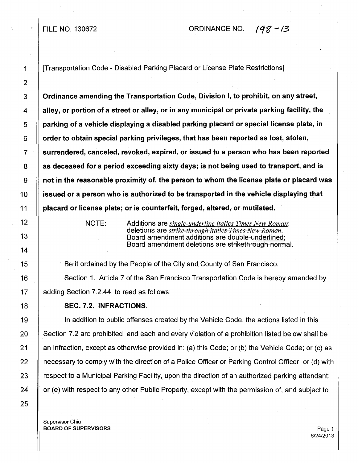# FILE NO. 130672 **ORDINANCE NO.**  $\frac{198 - 13}{8}$

1 | | Transportation Code - Disabled Parking Placard or License Plate Restrictions]

3 | Ordinance amending the Transportation Code, Division I, to prohibit, on any street, 4 **did alley, or portion of a street or alley, or in any municipal or private parking facility, the**  $5 \parallel$  parking of a vehicle displaying a disabled parking placard or special license plate, in  $6 \parallel$  order to obtain special parking privileges, that has been reported as lost, stolen, 7 surrendered, canceled, revoked, expired, or issued to a person who has been reported  $8 \parallel$  as deceased for a period exceeding sixty days; is not being used to transport, and is  $9 \parallel$  not in the reasonable proximity of, the person to whom the license plate or placard was  $10$   $\parallel$  issued or a person who is authorized to be transported in the vehicle displaying that 11  $\parallel$  placard or license plate; or is counterfeit, forged, altered, or mutilated.

NOTE: Additions are *single-underline italics Times New Roman;*  deletions are *strike-through-italics Times New Roman.* Board amendment additions are double-underlined; Board amendment deletions are strikethrough normal.

15 **Be it ordained by the People of the City and County of San Francisco:** 

16 Section 1. Article 7 of the San Francisco Transportation Code is hereby amended by 17 | adding Section 7.2.44, to read as follows:

## 18 SEC. 7.2. INFRACTIONS.

19 In addition to public offenses created by the Vehicle Code, the actions listed in this 20 Section 7.2 are prohibited, and each and every violation of a prohibition listed below shall be 21 | an infraction, except as otherwise provided in: (a) this Code; or (b) the Vehicle Code; or (c) as 22 | necessary to comply with the direction of a Police Officer or Parking Control Officer; or (d) with 23  $\parallel$  respect to a Municipal Parking Facility, upon the direction of an authorized parking attendant; 24  $\parallel$  or (e) with respect to any other Public Property, except with the permission of, and subject to

Supervisor Chiu **BOARD OF SUPERVISORS** Page 1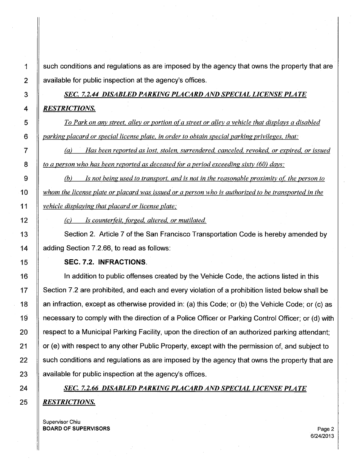1 Such conditions and regulations as are imposed by the agency that owns the property that are  $2 \parallel$  available for public inspection at the agency's offices.

3 *SEC. 7.2.44 DISABLED PARKING PLACARD AND SPECIAL LICENSE PLATE*  4 *RESTRICTIONS.* 

5 *To Park on any street. alley or portion of a street or alley a vehicle that displays a disabled*  6 *parking placard or special license plate. in order to obtain special parking privileges. that:* 

7 (a) *Has been reported as lost. stolen. surrendered canceled revoked or expired or issued*  8 *to a person who has been reported as deceased for a period exceeding sixty (60) days;* 

9 *If lease is not being used to transport, and is not in the reasonable proximity of, the person to* $\theta$ 10 *whom the license plate or placard was issued or a person who is authorized to be transported in the*  11 *vehicle displaying that placard or license plate.·* 

12 **12 1** (c) *Is counterfeit, forged, altered, or mutilated.* 

13 Section 2. Article 7 of the San Francisco Transportation Code is hereby amended by 14 | adding Section 7.2.66, to read as follows:

# 15 **SEC. 7.2. INFRACTIONS.**

16 In addition to public offenses created by the Vehicle Code, the actions listed in this 17 | Section 7.2 are prohibited, and each and every violation of a prohibition listed below shall be 18 | an infraction, except as otherwise provided in: (a) this Code; or (b) the Vehicle Code; or (c) as 19 necessary to comply with the direction of a Police Officer or Parking Control Officer; or (d) with 20  $\parallel$  respect to a Municipal Parking Facility, upon the direction of an authorized parking attendant; 21 | or (e) with respect to any other Public Property, except with the permission of, and subject to 22 | such conditions and regulations as are imposed by the agency that owns the property that are 23 **a** available for public inspection at the agency's offices.

# 24 *SEC. 7.2.66 DISABLED PARKING PLACARD AND SPECIAL LICENSE PLATE*  25 *RESTRICTIONS.*

Supervisor Chiu **BOARD OF SUPERVISORS** Page 2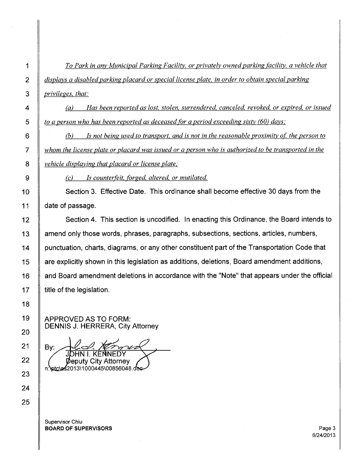*To Park in any Municipal Parking Facility, or privately owned parking facility, a vehicle that displays a disabled parking placard or special license plate, in order to obtain special parking privileges, that:*  (a) *Has been reported as lost, stolen, surrendered, canceled, revoked, or expired, or issued* 

**5** *to a person who has been reported as deceased for a period exceeding sixty (60) days;* 

6 (k) *Is not being used to transport, and is not in the reasonable proximity ot: the person to*  7 *whom the license plate or placard was issued or a person who is authorized to be transported in the*  **8** *vehicle displaying that placard or license plate;* 

**9 (c)** *Is counterfeit, forged, altered, or mutilated.* 

**<sup>1</sup>o Section 3. Effective Date. This ordinance shall become effective 30 days from the 11 date of passage.** 

**12 Section 4. This section is uncodified. In enacting this Ordinance, the Board intends to 13 amend only those words, phrases, paragraphs, subsections, sections, articles, numbers, 14 punctuation, charts, diagrams, or any other constituent part of the Transportation Code that 15 are explicitly shown in this legislation as additions, deletions, Board amendment additions, 16 and Board amendment deletions in accordance with the "Note" that appears under the official**  17 | title of the legislation.

**APPROVED AS TO FORM: DENNIS J. HERRERA, City Attorney** 

Bv: **Deputy City Attorney** n:\ptc\as2013\1000445\00856048.doe

Supervisor Chiu **BOARD OF SUPERVISORS Page 3** 

6/24/2013